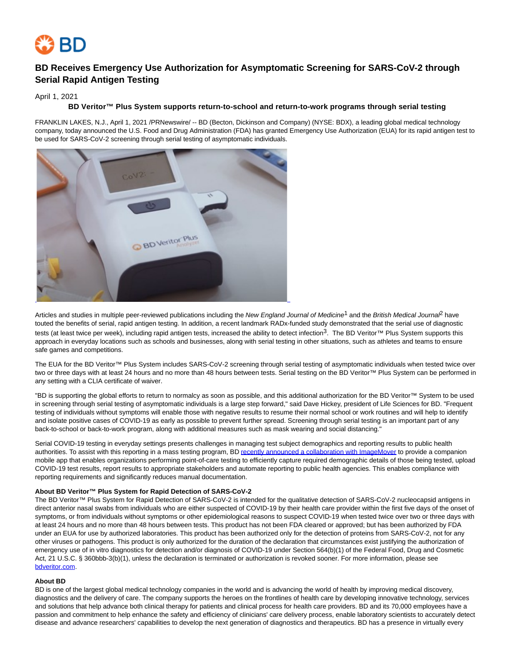

# **BD Receives Emergency Use Authorization for Asymptomatic Screening for SARS-CoV-2 through Serial Rapid Antigen Testing**

April 1, 2021

### **BD Veritor™ Plus System supports return-to-school and return-to-work programs through serial testing**

FRANKLIN LAKES, N.J., April 1, 2021 /PRNewswire/ -- BD (Becton, Dickinson and Company) (NYSE: BDX), a leading global medical technology company, today announced the U.S. Food and Drug Administration (FDA) has granted Emergency Use Authorization (EUA) for its rapid antigen test to be used for SARS-CoV-2 screening through serial testing of asymptomatic individuals.



Articles and studies in multiple peer-reviewed publications including the New England Journal of Medicine<sup>1</sup> and the British Medical Journal have touted the benefits of serial, rapid antigen testing. In addition, a recent landmark RADx-funded study demonstrated that the serial use of diagnostic tests (at least twice per week), including rapid antigen tests, increased the ability to detect infection<sup>3</sup>. The BD Veritor™ Plus System supports this approach in everyday locations such as schools and businesses, along with serial testing in other situations, such as athletes and teams to ensure safe games and competitions.

The EUA for the BD Veritor™ Plus System includes SARS-CoV-2 screening through serial testing of asymptomatic individuals when tested twice over two or three days with at least 24 hours and no more than 48 hours between tests. Serial testing on the BD Veritor™ Plus System can be performed in any setting with a CLIA certificate of waiver.

"BD is supporting the global efforts to return to normalcy as soon as possible, and this additional authorization for the BD Veritor™ System to be used in screening through serial testing of asymptomatic individuals is a large step forward," said Dave Hickey, president of Life Sciences for BD. "Frequent testing of individuals without symptoms will enable those with negative results to resume their normal school or work routines and will help to identify and isolate positive cases of COVID-19 as early as possible to prevent further spread. Screening through serial testing is an important part of any back-to-school or back-to-work program, along with additional measures such as mask wearing and social distancing."

Serial COVID-19 testing in everyday settings presents challenges in managing test subject demographics and reporting results to public health authorities. To assist with this reporting in a mass testing program, BD [recently announced a collaboration with ImageMover t](https://c212.net/c/link/?t=0&l=en&o=3116369-1&h=1880401611&u=https%3A%2F%2Fnews.bd.com%2F2021-03-09-BD-Announces-Collaboration-with-ImageMover-for-Rapid-Antigen-Test-Reporting&a=recently+announced+a+collaboration+with+ImageMover)o provide a companion mobile app that enables organizations performing point-of-care testing to efficiently capture required demographic details of those being tested, upload COVID-19 test results, report results to appropriate stakeholders and automate reporting to public health agencies. This enables compliance with reporting requirements and significantly reduces manual documentation.

#### **About BD Veritor™ Plus System for Rapid Detection of SARS-CoV-2**

The BD Veritor™ Plus System for Rapid Detection of SARS-CoV-2 is intended for the qualitative detection of SARS-CoV-2 nucleocapsid antigens in direct anterior nasal swabs from individuals who are either suspected of COVID-19 by their health care provider within the first five days of the onset of symptoms, or from individuals without symptoms or other epidemiological reasons to suspect COVID-19 when tested twice over two or three days with at least 24 hours and no more than 48 hours between tests. This product has not been FDA cleared or approved; but has been authorized by FDA under an EUA for use by authorized laboratories. This product has been authorized only for the detection of proteins from SARS-CoV-2, not for any other viruses or pathogens. This product is only authorized for the duration of the declaration that circumstances exist justifying the authorization of emergency use of in vitro diagnostics for detection and/or diagnosis of COVID-19 under Section 564(b)(1) of the Federal Food, Drug and Cosmetic Act, 21 U.S.C. § 360bbb-3(b)(1), unless the declaration is terminated or authorization is revoked sooner. For more information, please see [bdveritor.com.](https://c212.net/c/link/?t=0&l=en&o=3116369-1&h=866960398&u=http%3A%2F%2Fwww.bdveritor.com%2F&a=bdveritor.com)

#### **About BD**

BD is one of the largest global medical technology companies in the world and is advancing the world of health by improving medical discovery, diagnostics and the delivery of care. The company supports the heroes on the frontlines of health care by developing innovative technology, services and solutions that help advance both clinical therapy for patients and clinical process for health care providers. BD and its 70,000 employees have a passion and commitment to help enhance the safety and efficiency of clinicians' care delivery process, enable laboratory scientists to accurately detect disease and advance researchers' capabilities to develop the next generation of diagnostics and therapeutics. BD has a presence in virtually every